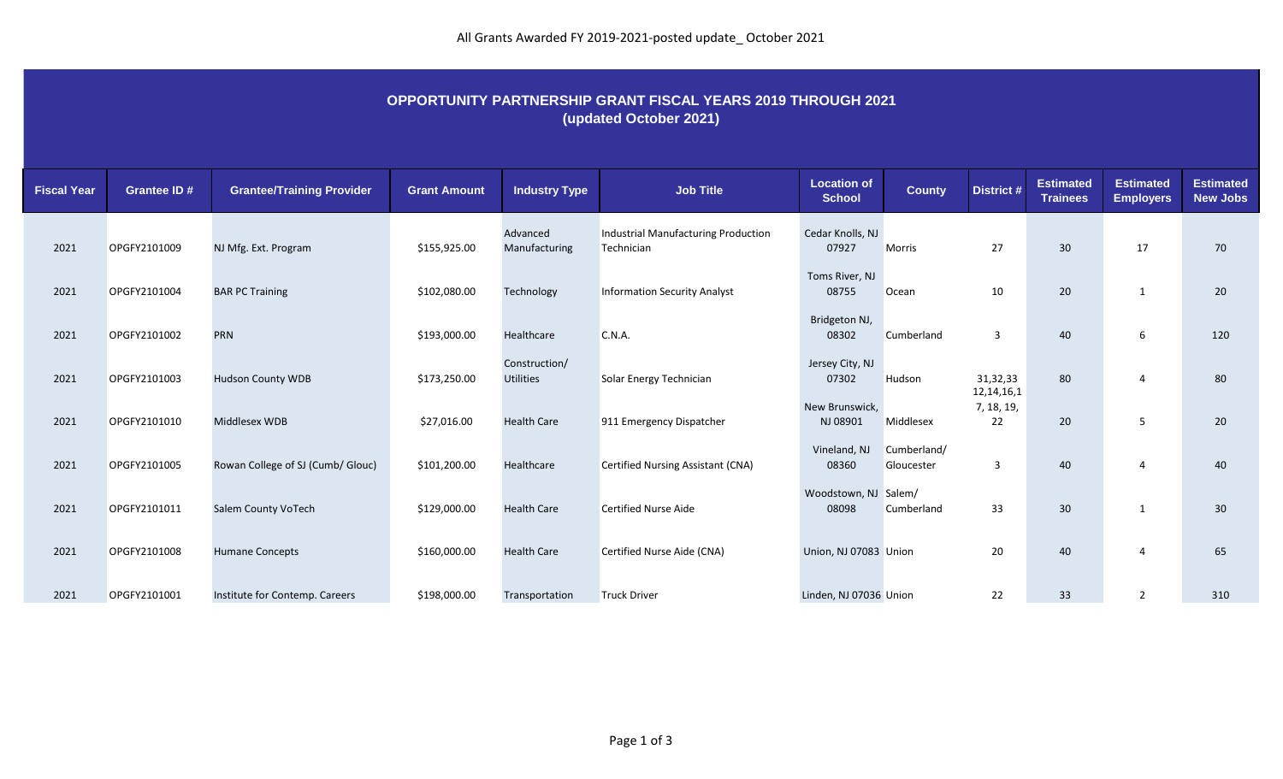## **OPPORTUNITY PARTNERSHIP GRANT FISCAL YEARS 2019 THROUGH 2021 (updated October 2021)**

| <b>Fiscal Year</b> | <b>Grantee ID#</b> | <b>Grantee/Training Provider</b>  | <b>Grant Amount</b> | <b>Industry Type</b>              | <b>Job Title</b>                                         | <b>Location of</b><br><b>School</b> | <b>County</b>             | District #                | <b>Estimated</b><br><b>Trainees</b> | <b>Estimated</b><br><b>Employers</b> | <b>Estimated</b><br><b>New Jobs</b> |
|--------------------|--------------------|-----------------------------------|---------------------|-----------------------------------|----------------------------------------------------------|-------------------------------------|---------------------------|---------------------------|-------------------------------------|--------------------------------------|-------------------------------------|
| 2021               | OPGFY2101009       | NJ Mfg. Ext. Program              | \$155,925.00        | Advanced<br>Manufacturing         | <b>Industrial Manufacturing Production</b><br>Technician | Cedar Knolls, NJ<br>07927           | Morris                    | 27                        | 30                                  | 17                                   | 70                                  |
| 2021               | OPGFY2101004       | <b>BAR PC Training</b>            | \$102,080.00        | Technology                        | <b>Information Security Analyst</b>                      | Toms River, NJ<br>08755             | Ocean                     | 10                        | 20                                  | - 1                                  | 20                                  |
| 2021               | OPGFY2101002       | <b>PRN</b>                        | \$193,000.00        | Healthcare                        | C.N.A.                                                   | Bridgeton NJ,<br>08302              | Cumberland                | $\overline{3}$            | 40                                  | 6                                    | 120                                 |
| 2021               | OPGFY2101003       | <b>Hudson County WDB</b>          | \$173,250.00        | Construction/<br><b>Utilities</b> | Solar Energy Technician                                  | Jersey City, NJ<br>07302            | Hudson                    | 31,32,33<br>12, 14, 16, 1 | 80                                  | 4                                    | 80                                  |
| 2021               | OPGFY2101010       | Middlesex WDB                     | \$27,016.00         | <b>Health Care</b>                | 911 Emergency Dispatcher                                 | New Brunswick,<br>NJ 08901          | Middlesex                 | 7, 18, 19,<br>22          | 20 <sub>2</sub>                     | 5                                    | 20                                  |
| 2021               | OPGFY2101005       | Rowan College of SJ (Cumb/ Glouc) | \$101,200.00        | Healthcare                        | Certified Nursing Assistant (CNA)                        | Vineland, NJ<br>08360               | Cumberland/<br>Gloucester | 3                         | 40                                  | 4                                    | 40                                  |
| 2021               | OPGFY2101011       | Salem County VoTech               | \$129,000.00        | <b>Health Care</b>                | <b>Certified Nurse Aide</b>                              | Woodstown, NJ Salem/<br>08098       | Cumberland                | 33                        | 30                                  | - 1                                  | 30                                  |
| 2021               | OPGFY2101008       | <b>Humane Concepts</b>            | \$160,000.00        | <b>Health Care</b>                | Certified Nurse Aide (CNA)                               | Union, NJ 07083 Union               |                           | 20                        | 40                                  | $\overline{4}$                       | 65                                  |
| 2021               | OPGFY2101001       | Institute for Contemp. Careers    | \$198,000.00        | Transportation                    | <b>Truck Driver</b>                                      | Linden, NJ 07036 Union              |                           | 22                        | 33                                  | $\overline{2}$                       | 310                                 |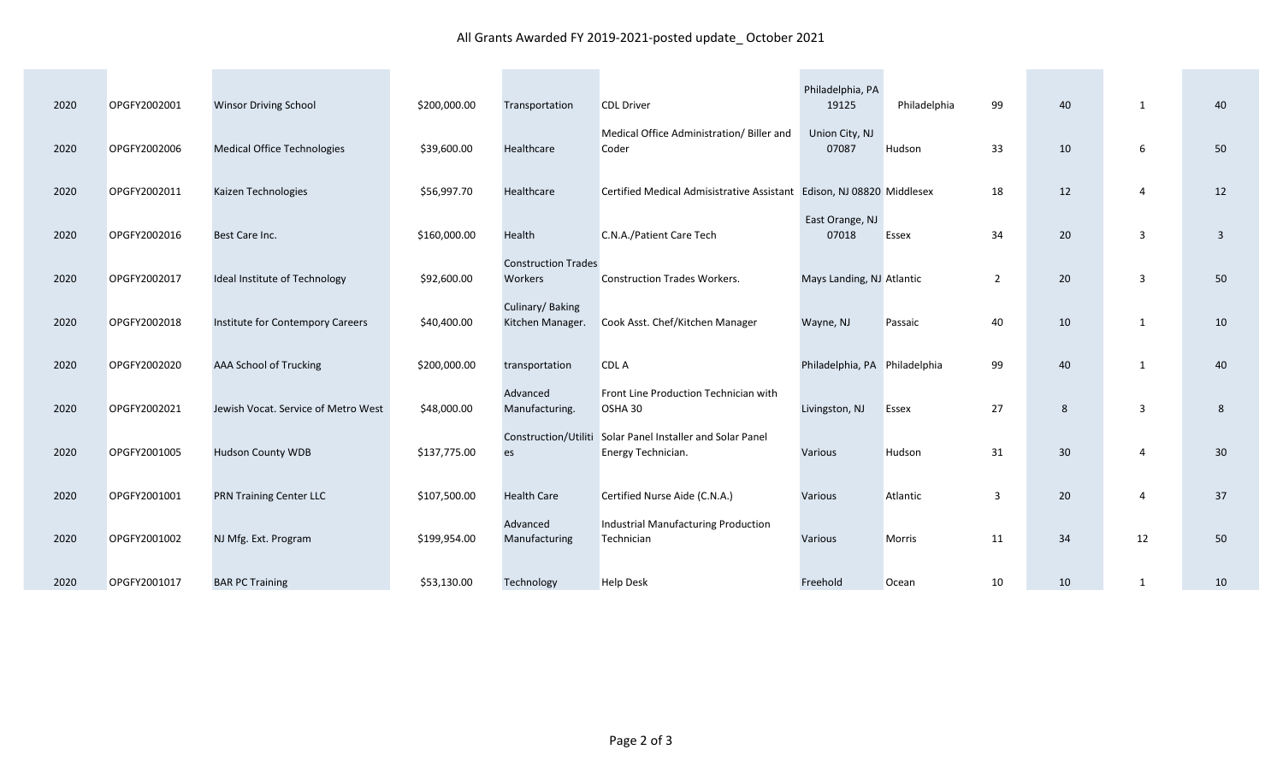## All Grants Awarded FY 2019-2021-posted update\_ October 2021

| 2020 | OPGFY2002001 | <b>Winsor Driving School</b>        | \$200,000.00 | Transportation                        | <b>CDL Driver</b>                                                                | Philadelphia, PA<br>19125     | Philadelphia | 99             | 40 | 1            | 40 |
|------|--------------|-------------------------------------|--------------|---------------------------------------|----------------------------------------------------------------------------------|-------------------------------|--------------|----------------|----|--------------|----|
| 2020 | OPGFY2002006 | <b>Medical Office Technologies</b>  | \$39,600.00  | Healthcare                            | Medical Office Administration/ Biller and<br>Coder                               | Union City, NJ<br>07087       | Hudson       | 33             | 10 | 6            | 50 |
| 2020 | OPGFY2002011 | Kaizen Technologies                 | \$56,997.70  | Healthcare                            | Certified Medical Admisistrative Assistant Edison, NJ 08820 Middlesex            |                               |              | 18             | 12 | 4            | 12 |
| 2020 | OPGFY2002016 | Best Care Inc.                      | \$160,000.00 | Health                                | C.N.A./Patient Care Tech                                                         | East Orange, NJ<br>07018      | <b>Essex</b> | 34             | 20 | 3            | 3  |
| 2020 | OPGFY2002017 | Ideal Institute of Technology       | \$92,600.00  | <b>Construction Trades</b><br>Workers | <b>Construction Trades Workers.</b>                                              | Mays Landing, NJ Atlantic     |              | $\overline{2}$ | 20 | 3            | 50 |
| 2020 | OPGFY2002018 | Institute for Contempory Careers    | \$40,400.00  | Culinary/Baking<br>Kitchen Manager.   | Cook Asst. Chef/Kitchen Manager                                                  | Wayne, NJ                     | Passaic      | 40             | 10 | 1            | 10 |
| 2020 | OPGFY2002020 | AAA School of Trucking              | \$200,000.00 | transportation                        | CDL A                                                                            | Philadelphia, PA Philadelphia |              | 99             | 40 | $\mathbf{1}$ | 40 |
| 2020 | OPGFY2002021 | Jewish Vocat. Service of Metro West | \$48,000.00  | Advanced<br>Manufacturing.            | Front Line Production Technician with<br>OSHA 30                                 | Livingston, NJ                | <b>Essex</b> | 27             | 8  | 3            | 8  |
| 2020 | OPGFY2001005 | <b>Hudson County WDB</b>            | \$137,775.00 | es                                    | Construction/Utiliti Solar Panel Installer and Solar Panel<br>Energy Technician. | Various                       | Hudson       | 31             | 30 | 4            | 30 |
| 2020 | OPGFY2001001 | <b>PRN Training Center LLC</b>      | \$107,500.00 | <b>Health Care</b>                    | Certified Nurse Aide (C.N.A.)                                                    | Various                       | Atlantic     | $\overline{3}$ | 20 | 4            | 37 |
| 2020 | OPGFY2001002 | NJ Mfg. Ext. Program                | \$199,954.00 | Advanced<br>Manufacturing             | Industrial Manufacturing Production<br>Technician                                | Various                       | Morris       | 11             | 34 | 12           | 50 |
| 2020 | OPGFY2001017 | <b>BAR PC Training</b>              | \$53,130.00  | Technology                            | <b>Help Desk</b>                                                                 | Freehold                      | Ocean        | 10             | 10 | 1            | 10 |